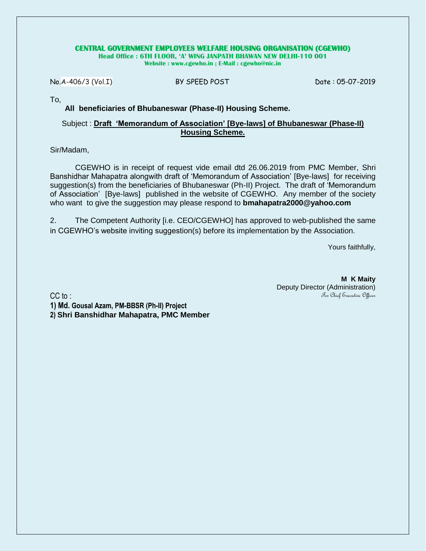#### **CENTRAL GOVERNMENT EMPLOYEES WELFARE HOUSING ORGANISATION (CGEWHO)**

**Head Office : 6TH FLOOR, 'A' WING JANPATH BHAWAN NEW DELHI-110 001 Website : www.cgewho.in ; E-Mail : cgewho@nic.in**

No.A-406/3 (Vol.I) BY SPEED POST Date : 05-07-2019

To,

#### **All beneficiaries of Bhubaneswar (Phase-II) Housing Scheme.**

#### Subject : **Draft 'Memorandum of Association' [Bye-laws] of Bhubaneswar (Phase-II) Housing Scheme.**

#### Sir/Madam,

CGEWHO is in receipt of request vide email dtd 26.06.2019 from PMC Member, Shri Banshidhar Mahapatra alongwith draft of 'Memorandum of Association' [Bye-laws]for receiving suggestion(s) from the beneficiaries of Bhubaneswar (Ph-II) Project. The draft of 'Memorandum of Association' [Bye-laws]published in the website of CGEWHO. Any member of the society who want to give the suggestion may please respond to **bmahapatra2000@yahoo.com**

2. The Competent Authority [i.e. CEO/CGEWHO] has approved to web-published the same in CGEWHO's website inviting suggestion(s) before its implementation by the Association.

Yours faithfully,

CC to:

**M K Maity** Deputy Director (Administration) For Chief Executive Officer

**1) Md. Gousal Azam, PM-BBSR (Ph-II) Project 2) Shri Banshidhar Mahapatra, PMC Member**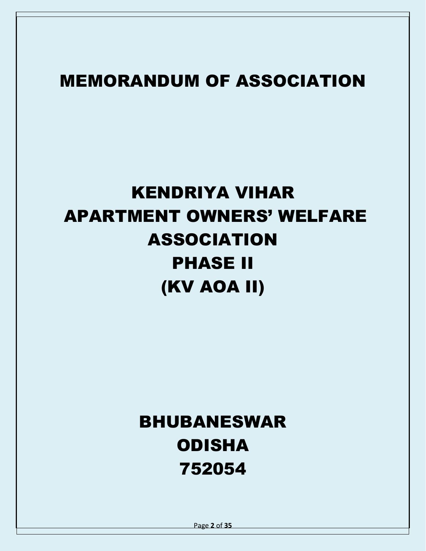# MEMORANDUM OF ASSOCIATION

# KENDRIYA VIHAR APARTMENT OWNERS' WELFARE ASSOCIATION PHASE II (KV AOA II)

# BHUBANESWAR ODISHA 752054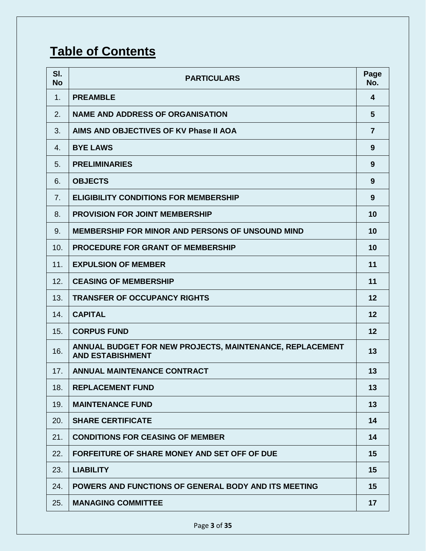### **Table of Contents**

| SI.<br><b>No</b> | <b>PARTICULARS</b>                                                                  | Page<br>No.    |
|------------------|-------------------------------------------------------------------------------------|----------------|
| 1.               | <b>PREAMBLE</b>                                                                     | 4              |
| 2.               | <b>NAME AND ADDRESS OF ORGANISATION</b>                                             | 5              |
| 3.               | AIMS AND OBJECTIVES OF KV Phase II AOA                                              | $\overline{7}$ |
| 4.               | <b>BYE LAWS</b>                                                                     | 9              |
| 5.               | <b>PRELIMINARIES</b>                                                                | 9              |
| 6.               | <b>OBJECTS</b>                                                                      | 9              |
| 7.               | <b>ELIGIBILITY CONDITIONS FOR MEMBERSHIP</b>                                        | 9              |
| 8.               | <b>PROVISION FOR JOINT MEMBERSHIP</b>                                               | 10             |
| 9.               | <b>MEMBERSHIP FOR MINOR AND PERSONS OF UNSOUND MIND</b>                             | 10             |
| 10.              | <b>PROCEDURE FOR GRANT OF MEMBERSHIP</b>                                            | 10             |
| 11.              | <b>EXPULSION OF MEMBER</b>                                                          | 11             |
| 12.              | <b>CEASING OF MEMBERSHIP</b>                                                        | 11             |
| 13.              | <b>TRANSFER OF OCCUPANCY RIGHTS</b>                                                 | 12             |
| 14.              | <b>CAPITAL</b>                                                                      | 12             |
| 15.              | <b>CORPUS FUND</b>                                                                  | 12             |
| 16.              | ANNUAL BUDGET FOR NEW PROJECTS, MAINTENANCE, REPLACEMENT<br><b>AND ESTABISHMENT</b> | 13             |
| 17.              | <b>ANNUAL MAINTENANCE CONTRACT</b>                                                  | 13             |
| 18.              | <b>REPLACEMENT FUND</b>                                                             | 13             |
| 19.              | <b>MAINTENANCE FUND</b>                                                             | 13             |
| 20.              | <b>SHARE CERTIFICATE</b>                                                            | 14             |
| 21.              | <b>CONDITIONS FOR CEASING OF MEMBER</b>                                             | 14             |
| 22.              | <b>FORFEITURE OF SHARE MONEY AND SET OFF OF DUE</b>                                 | 15             |
| 23.              | <b>LIABILITY</b>                                                                    | 15             |
| 24.              | POWERS AND FUNCTIONS OF GENERAL BODY AND ITS MEETING                                | 15             |
| 25.              | <b>MANAGING COMMITTEE</b>                                                           | 17             |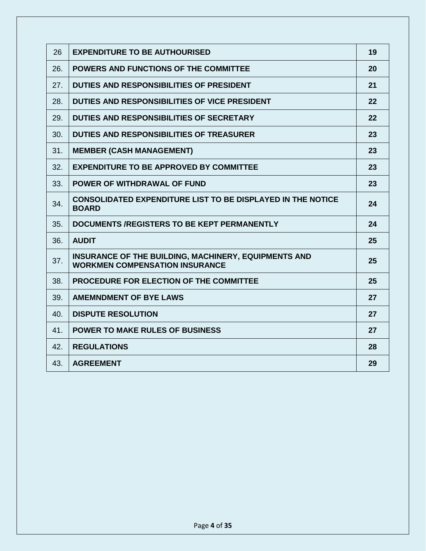| 26  | <b>EXPENDITURE TO BE AUTHOURISED</b>                                                          | 19 |
|-----|-----------------------------------------------------------------------------------------------|----|
| 26. | <b>POWERS AND FUNCTIONS OF THE COMMITTEE</b>                                                  | 20 |
| 27. | DUTIES AND RESPONSIBILITIES OF PRESIDENT                                                      | 21 |
| 28. | DUTIES AND RESPONSIBILITIES OF VICE PRESIDENT                                                 | 22 |
| 29. | DUTIES AND RESPONSIBILITIES OF SECRETARY                                                      | 22 |
| 30. | DUTIES AND RESPONSIBILITIES OF TREASURER                                                      | 23 |
| 31. | <b>MEMBER (CASH MANAGEMENT)</b>                                                               | 23 |
| 32. | <b>EXPENDITURE TO BE APPROVED BY COMMITTEE</b>                                                | 23 |
| 33. | <b>POWER OF WITHDRAWAL OF FUND</b>                                                            | 23 |
| 34. | <b>CONSOLIDATED EXPENDITURE LIST TO BE DISPLAYED IN THE NOTICE</b><br><b>BOARD</b>            | 24 |
| 35. | DOCUMENTS /REGISTERS TO BE KEPT PERMANENTLY                                                   | 24 |
| 36. | <b>AUDIT</b>                                                                                  | 25 |
| 37. | INSURANCE OF THE BUILDING, MACHINERY, EQUIPMENTS AND<br><b>WORKMEN COMPENSATION INSURANCE</b> | 25 |
| 38. | PROCEDURE FOR ELECTION OF THE COMMITTEE                                                       | 25 |
| 39. | <b>AMEMNDMENT OF BYE LAWS</b>                                                                 | 27 |
| 40. | <b>DISPUTE RESOLUTION</b>                                                                     | 27 |
| 41. | <b>POWER TO MAKE RULES OF BUSINESS</b>                                                        | 27 |
| 42. | <b>REGULATIONS</b>                                                                            | 28 |
| 43. | <b>AGREEMENT</b>                                                                              | 29 |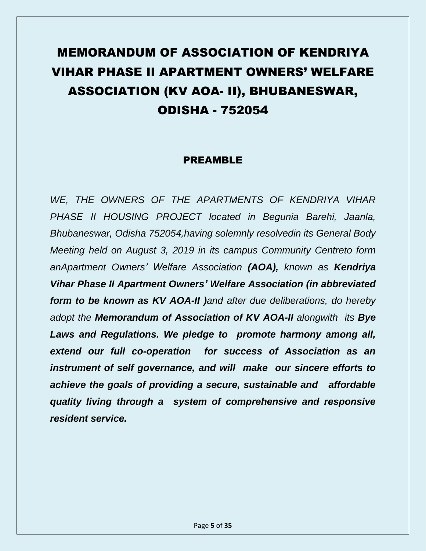# MEMORANDUM OF ASSOCIATION OF KENDRIYA VIHAR PHASE II APARTMENT OWNERS' WELFARE ASSOCIATION (KV AOA- II), BHUBANESWAR, ODISHA - 752054

#### PREAMBLE

*WE, THE OWNERS OF THE APARTMENTS OF KENDRIYA VIHAR PHASE II HOUSING PROJECT located in Begunia Barehi, Jaanla, Bhubaneswar, Odisha 752054,having solemnly resolvedin its General Body Meeting held on August 3, 2019 in its campus Community Centreto form anApartment Owners' Welfare Association (AOA), known as Kendriya Vihar Phase II Apartment Owners' Welfare Association (in abbreviated form to be known as KV AOA-II )and after due deliberations, do hereby adopt the Memorandum of Association of KV AOA-II alongwith its Bye Laws and Regulations. We pledge to promote harmony among all, extend our full co-operation for success of Association as an instrument of self governance, and will make our sincere efforts to achieve the goals of providing a secure, sustainable and affordable quality living through a system of comprehensive and responsive resident service.*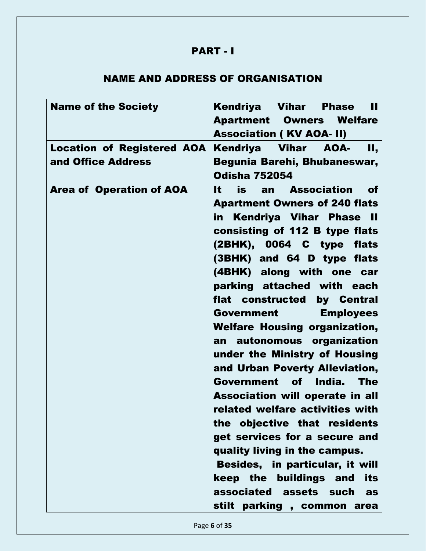#### PART - I

#### NAME AND ADDRESS OF ORGANISATION

| <b>Name of the Society</b>                              | Kendriya Vihar<br>Ш<br><b>Phase</b><br><b>Apartment Owners Welfare</b><br><b>Association (KV AOA- II)</b>                                                                                                                                                                                                                                                                                                                                                                                                                                                                                                                                                                                                                                                                                                                                         |
|---------------------------------------------------------|---------------------------------------------------------------------------------------------------------------------------------------------------------------------------------------------------------------------------------------------------------------------------------------------------------------------------------------------------------------------------------------------------------------------------------------------------------------------------------------------------------------------------------------------------------------------------------------------------------------------------------------------------------------------------------------------------------------------------------------------------------------------------------------------------------------------------------------------------|
| <b>Location of Registered AOA</b><br>and Office Address | Kendriya Vihar<br>AOA-<br>Н,<br>Begunia Barehi, Bhubaneswar,<br><b>Odisha 752054</b>                                                                                                                                                                                                                                                                                                                                                                                                                                                                                                                                                                                                                                                                                                                                                              |
| <b>Area of Operation of AOA</b>                         | is<br>an Association<br>It i<br>of<br><b>Apartment Owners of 240 flats</b><br><b>Kendriya Vihar Phase II</b><br>in<br>consisting of 112 B type flats<br>(2BHK), 0064 C type flats<br>(3BHK) and 64 D type flats<br>(4BHK) along with one car<br>parking attached with each<br>flat constructed by Central<br><b>Government</b><br><b>Employees</b><br><b>Welfare Housing organization,</b><br>autonomous organization<br>an<br>under the Ministry of Housing<br>and Urban Poverty Alleviation,<br>India.<br>Government of<br><b>The</b><br>Association will operate in all<br>related welfare activities with<br>the objective that residents<br>get services for a secure and<br>quality living in the campus.<br>Besides, in particular, it will<br>keep the buildings and<br>its<br>associated assets such<br>as<br>stilt parking, common area |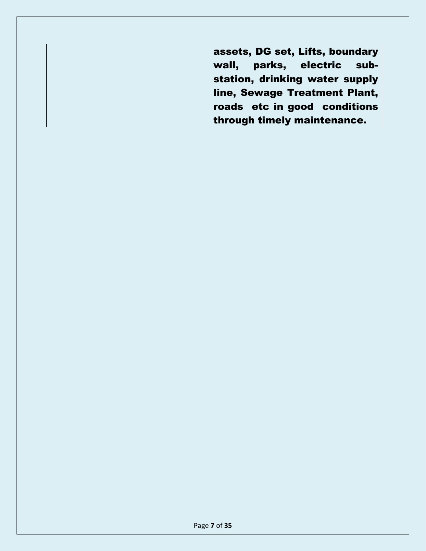| assets, DG set, Lifts, boundary |
|---------------------------------|
| wall, parks, electric sub-      |
| station, drinking water supply  |
| line, Sewage Treatment Plant,   |
| roads etc in good conditions    |
| through timely maintenance.     |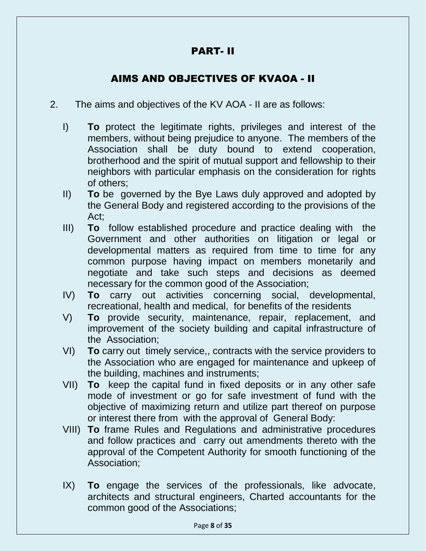#### PART- II

#### AIMS AND OBJECTIVES OF KVAOA - II

- 2. The aims and objectives of the KV AOA II are as follows:
	- I) **To** protect the legitimate rights, privileges and interest of the members, without being prejudice to anyone. The members of the Association shall be duty bound to extend cooperation, brotherhood and the spirit of mutual support and fellowship to their neighbors with particular emphasis on the consideration for rights of others;
	- II) **To** be governed by the Bye Laws duly approved and adopted by the General Body and registered according to the provisions of the Act;
	- III) **To** follow established procedure and practice dealing with the Government and other authorities on litigation or legal or developmental matters as required from time to time for any common purpose having impact on members monetarily and negotiate and take such steps and decisions as deemed necessary for the common good of the Association;
	- IV) **To** carry out activities concerning social, developmental, recreational, health and medical, for benefits of the residents
	- V) **To** provide security, maintenance, repair, replacement, and improvement of the society building and capital infrastructure of the Association;
	- VI) **To** carry out timely service,, contracts with the service providers to the Association who are engaged for maintenance and upkeep of the building, machines and instruments;
	- VII) **To** keep the capital fund in fixed deposits or in any other safe mode of investment or go for safe investment of fund with the objective of maximizing return and utilize part thereof on purpose or interest there from with the approval of General Body:
	- VIII) **To** frame Rules and Regulations and administrative procedures and follow practices and carry out amendments thereto with the approval of the Competent Authority for smooth functioning of the Association;
	- IX) **To** engage the services of the professionals, like advocate, architects and structural engineers, Charted accountants for the common good of the Associations;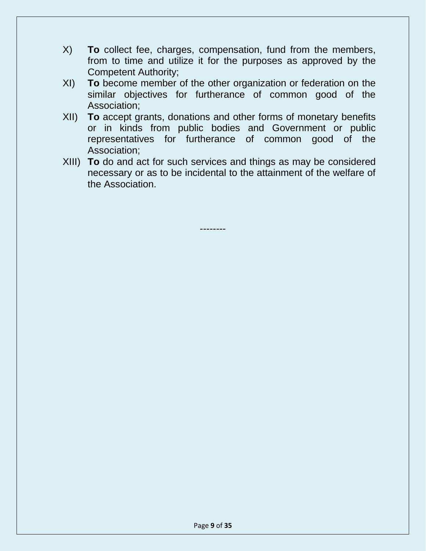- X) **To** collect fee, charges, compensation, fund from the members, from to time and utilize it for the purposes as approved by the Competent Authority;
- XI) **To** become member of the other organization or federation on the similar objectives for furtherance of common good of the Association;
- XII) **To** accept grants, donations and other forms of monetary benefits or in kinds from public bodies and Government or public representatives for furtherance of common good of the Association;
- XIII) **To** do and act for such services and things as may be considered necessary or as to be incidental to the attainment of the welfare of the Association.

--------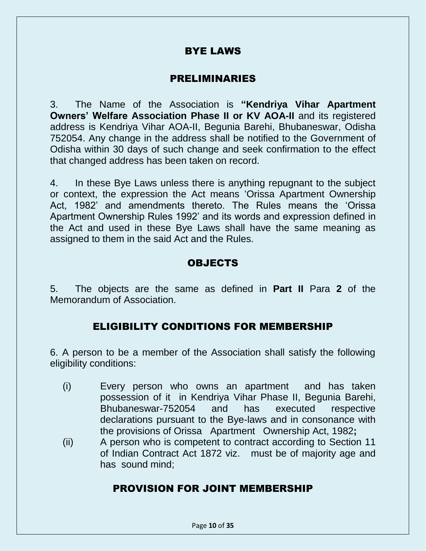#### BYE LAWS

#### PRELIMINARIES

3. The Name of the Association is **"Kendriya Vihar Apartment Owners' Welfare Association Phase II or KV AOA-II** and its registered address is Kendriya Vihar AOA-II, Begunia Barehi, Bhubaneswar, Odisha 752054. Any change in the address shall be notified to the Government of Odisha within 30 days of such change and seek confirmation to the effect that changed address has been taken on record.

4. In these Bye Laws unless there is anything repugnant to the subject or context, the expression the Act means 'Orissa Apartment Ownership Act, 1982' and amendments thereto. The Rules means the 'Orissa Apartment Ownership Rules 1992' and its words and expression defined in the Act and used in these Bye Laws shall have the same meaning as assigned to them in the said Act and the Rules.

#### OBJECTS

5. The objects are the same as defined in **Part II** Para **2** of the Memorandum of Association.

#### ELIGIBILITY CONDITIONS FOR MEMBERSHIP

6. A person to be a member of the Association shall satisfy the following eligibility conditions:

- (i) Every person who owns an apartment and has taken possession of it in Kendriya Vihar Phase II, Begunia Barehi, Bhubaneswar-752054 and has executed respective declarations pursuant to the Bye-laws and in consonance with the provisions of Orissa Apartment Ownership Act, 1982**;**
- (ii) A person who is competent to contract according to Section 11 of Indian Contract Act 1872 viz. must be of majority age and has sound mind;

#### PROVISION FOR JOINT MEMBERSHIP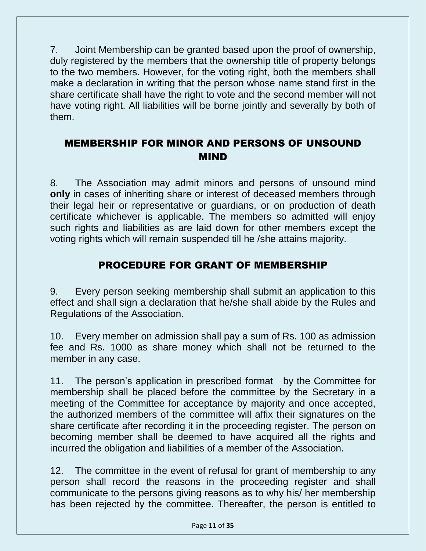7. Joint Membership can be granted based upon the proof of ownership, duly registered by the members that the ownership title of property belongs to the two members. However, for the voting right, both the members shall make a declaration in writing that the person whose name stand first in the share certificate shall have the right to vote and the second member will not have voting right. All liabilities will be borne jointly and severally by both of them.

#### MEMBERSHIP FOR MINOR AND PERSONS OF UNSOUND MIND

8. The Association may admit minors and persons of unsound mind **only** in cases of inheriting share or interest of deceased members through their legal heir or representative or guardians, or on production of death certificate whichever is applicable. The members so admitted will enjoy such rights and liabilities as are laid down for other members except the voting rights which will remain suspended till he /she attains majority.

#### PROCEDURE FOR GRANT OF MEMBERSHIP

9. Every person seeking membership shall submit an application to this effect and shall sign a declaration that he/she shall abide by the Rules and Regulations of the Association.

10. Every member on admission shall pay a sum of Rs. 100 as admission fee and Rs. 1000 as share money which shall not be returned to the member in any case.

11. The person's application in prescribed format by the Committee for membership shall be placed before the committee by the Secretary in a meeting of the Committee for acceptance by majority and once accepted, the authorized members of the committee will affix their signatures on the share certificate after recording it in the proceeding register. The person on becoming member shall be deemed to have acquired all the rights and incurred the obligation and liabilities of a member of the Association.

12. The committee in the event of refusal for grant of membership to any person shall record the reasons in the proceeding register and shall communicate to the persons giving reasons as to why his/ her membership has been rejected by the committee. Thereafter, the person is entitled to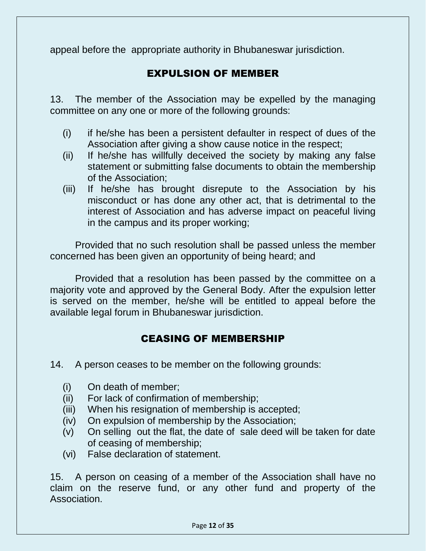appeal before the appropriate authority in Bhubaneswar jurisdiction.

#### EXPULSION OF MEMBER

13. The member of the Association may be expelled by the managing committee on any one or more of the following grounds:

- (i) if he/she has been a persistent defaulter in respect of dues of the Association after giving a show cause notice in the respect;
- (ii) If he/she has willfully deceived the society by making any false statement or submitting false documents to obtain the membership of the Association;
- (iii) If he/she has brought disrepute to the Association by his misconduct or has done any other act, that is detrimental to the interest of Association and has adverse impact on peaceful living in the campus and its proper working;

Provided that no such resolution shall be passed unless the member concerned has been given an opportunity of being heard; and

Provided that a resolution has been passed by the committee on a majority vote and approved by the General Body. After the expulsion letter is served on the member, he/she will be entitled to appeal before the available legal forum in Bhubaneswar jurisdiction.

#### CEASING OF MEMBERSHIP

- 14. A person ceases to be member on the following grounds:
	- (i) On death of member;
	- (ii) For lack of confirmation of membership;
	- (iii) When his resignation of membership is accepted;
	- (iv) On expulsion of membership by the Association;
	- (v) On selling out the flat, the date of sale deed will be taken for date of ceasing of membership;
	- (vi) False declaration of statement.

15. A person on ceasing of a member of the Association shall have no claim on the reserve fund, or any other fund and property of the Association.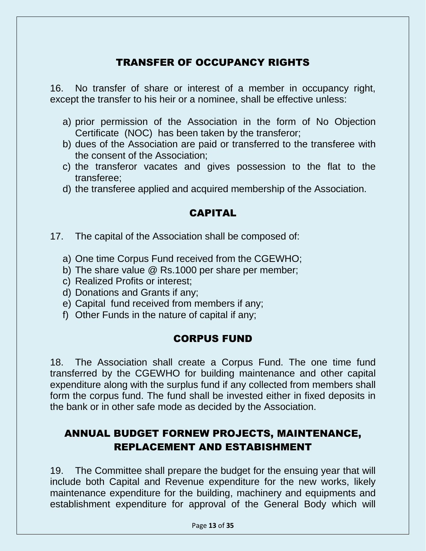#### TRANSFER OF OCCUPANCY RIGHTS

16. No transfer of share or interest of a member in occupancy right, except the transfer to his heir or a nominee, shall be effective unless:

- a) prior permission of the Association in the form of No Objection Certificate (NOC) has been taken by the transferor;
- b) dues of the Association are paid or transferred to the transferee with the consent of the Association;
- c) the transferor vacates and gives possession to the flat to the transferee;
- d) the transferee applied and acquired membership of the Association.

#### CAPITAL

- 17. The capital of the Association shall be composed of:
	- a) One time Corpus Fund received from the CGEWHO;
	- b) The share value @ Rs.1000 per share per member;
	- c) Realized Profits or interest;
	- d) Donations and Grants if any;
	- e) Capital fund received from members if any;
	- f) Other Funds in the nature of capital if any;

#### CORPUS FUND

18. The Association shall create a Corpus Fund. The one time fund transferred by the CGEWHO for building maintenance and other capital expenditure along with the surplus fund if any collected from members shall form the corpus fund. The fund shall be invested either in fixed deposits in the bank or in other safe mode as decided by the Association.

#### ANNUAL BUDGET FORNEW PROJECTS, MAINTENANCE, REPLACEMENT AND ESTABISHMENT

19. The Committee shall prepare the budget for the ensuing year that will include both Capital and Revenue expenditure for the new works, likely maintenance expenditure for the building, machinery and equipments and establishment expenditure for approval of the General Body which will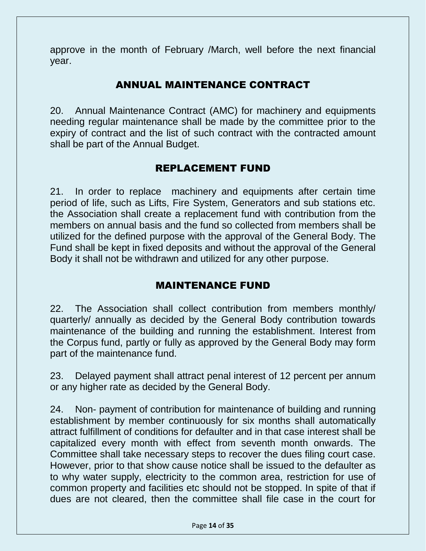approve in the month of February /March, well before the next financial year.

#### ANNUAL MAINTENANCE CONTRACT

20. Annual Maintenance Contract (AMC) for machinery and equipments needing regular maintenance shall be made by the committee prior to the expiry of contract and the list of such contract with the contracted amount shall be part of the Annual Budget.

#### REPLACEMENT FUND

21. In order to replace machinery and equipments after certain time period of life, such as Lifts, Fire System, Generators and sub stations etc. the Association shall create a replacement fund with contribution from the members on annual basis and the fund so collected from members shall be utilized for the defined purpose with the approval of the General Body. The Fund shall be kept in fixed deposits and without the approval of the General Body it shall not be withdrawn and utilized for any other purpose.

#### MAINTENANCE FUND

22. The Association shall collect contribution from members monthly/ quarterly/ annually as decided by the General Body contribution towards maintenance of the building and running the establishment. Interest from the Corpus fund, partly or fully as approved by the General Body may form part of the maintenance fund.

23. Delayed payment shall attract penal interest of 12 percent per annum or any higher rate as decided by the General Body.

24. Non- payment of contribution for maintenance of building and running establishment by member continuously for six months shall automatically attract fulfillment of conditions for defaulter and in that case interest shall be capitalized every month with effect from seventh month onwards. The Committee shall take necessary steps to recover the dues filing court case. However, prior to that show cause notice shall be issued to the defaulter as to why water supply, electricity to the common area, restriction for use of common property and facilities etc should not be stopped. In spite of that if dues are not cleared, then the committee shall file case in the court for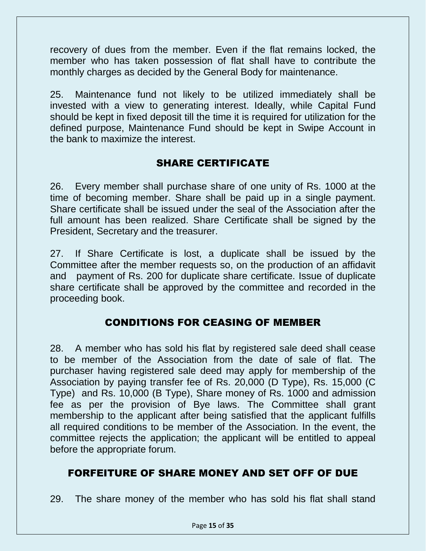recovery of dues from the member. Even if the flat remains locked, the member who has taken possession of flat shall have to contribute the monthly charges as decided by the General Body for maintenance.

25. Maintenance fund not likely to be utilized immediately shall be invested with a view to generating interest. Ideally, while Capital Fund should be kept in fixed deposit till the time it is required for utilization for the defined purpose, Maintenance Fund should be kept in Swipe Account in the bank to maximize the interest.

#### SHARE CERTIFICATE

26. Every member shall purchase share of one unity of Rs. 1000 at the time of becoming member. Share shall be paid up in a single payment. Share certificate shall be issued under the seal of the Association after the full amount has been realized. Share Certificate shall be signed by the President, Secretary and the treasurer.

27. If Share Certificate is lost, a duplicate shall be issued by the Committee after the member requests so, on the production of an affidavit and payment of Rs. 200 for duplicate share certificate. Issue of duplicate share certificate shall be approved by the committee and recorded in the proceeding book.

#### CONDITIONS FOR CEASING OF MEMBER

28. A member who has sold his flat by registered sale deed shall cease to be member of the Association from the date of sale of flat. The purchaser having registered sale deed may apply for membership of the Association by paying transfer fee of Rs. 20,000 (D Type), Rs. 15,000 (C Type) and Rs. 10,000 (B Type), Share money of Rs. 1000 and admission fee as per the provision of Bye laws. The Committee shall grant membership to the applicant after being satisfied that the applicant fulfills all required conditions to be member of the Association. In the event, the committee rejects the application; the applicant will be entitled to appeal before the appropriate forum.

#### FORFEITURE OF SHARE MONEY AND SET OFF OF DUE

29. The share money of the member who has sold his flat shall stand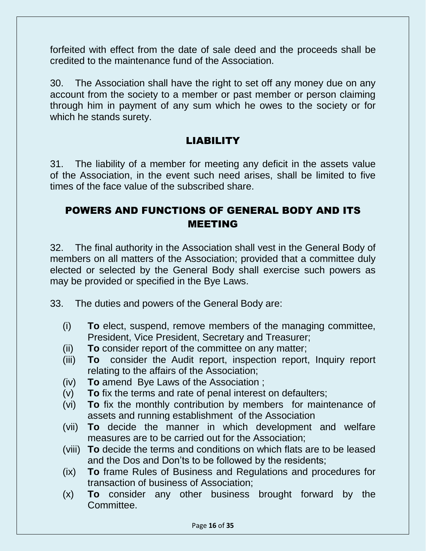forfeited with effect from the date of sale deed and the proceeds shall be credited to the maintenance fund of the Association.

30. The Association shall have the right to set off any money due on any account from the society to a member or past member or person claiming through him in payment of any sum which he owes to the society or for which he stands surety.

#### LIABILITY

31. The liability of a member for meeting any deficit in the assets value of the Association, in the event such need arises, shall be limited to five times of the face value of the subscribed share.

#### POWERS AND FUNCTIONS OF GENERAL BODY AND ITS MEETING

32. The final authority in the Association shall vest in the General Body of members on all matters of the Association; provided that a committee duly elected or selected by the General Body shall exercise such powers as may be provided or specified in the Bye Laws.

33. The duties and powers of the General Body are:

- (i) **To** elect, suspend, remove members of the managing committee, President, Vice President, Secretary and Treasurer;
- (ii) **To** consider report of the committee on any matter;
- (iii) **To** consider the Audit report, inspection report, Inquiry report relating to the affairs of the Association;
- (iv) **To** amend Bye Laws of the Association ;
- (v) **To** fix the terms and rate of penal interest on defaulters;
- (vi) **To** fix the monthly contribution by members for maintenance of assets and running establishment of the Association
- (vii) **To** decide the manner in which development and welfare measures are to be carried out for the Association;
- (viii) **To** decide the terms and conditions on which flats are to be leased and the Dos and Don'ts to be followed by the residents;
- (ix) **To** frame Rules of Business and Regulations and procedures for transaction of business of Association;
- (x) **To** consider any other business brought forward by the Committee.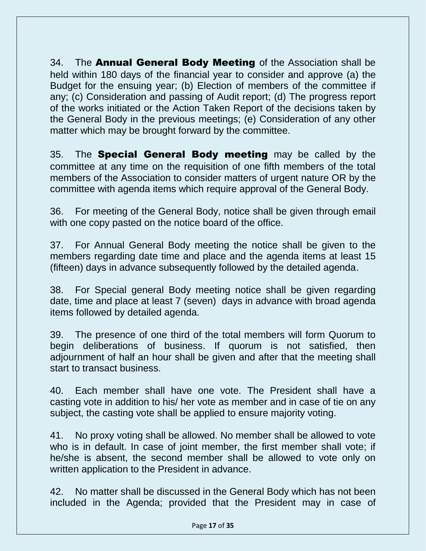34. The **Annual General Body Meeting** of the Association shall be held within 180 days of the financial year to consider and approve (a) the Budget for the ensuing year; (b) Election of members of the committee if any; (c) Consideration and passing of Audit report; (d) The progress report of the works initiated or the Action Taken Report of the decisions taken by the General Body in the previous meetings; (e) Consideration of any other matter which may be brought forward by the committee.

35. The **Special General Body meeting** may be called by the committee at any time on the requisition of one fifth members of the total members of the Association to consider matters of urgent nature OR by the committee with agenda items which require approval of the General Body.

36. For meeting of the General Body, notice shall be given through email with one copy pasted on the notice board of the office.

37. For Annual General Body meeting the notice shall be given to the members regarding date time and place and the agenda items at least 15 (fifteen) days in advance subsequently followed by the detailed agenda.

38. For Special general Body meeting notice shall be given regarding date, time and place at least 7 (seven) days in advance with broad agenda items followed by detailed agenda.

39. The presence of one third of the total members will form Quorum to begin deliberations of business. If quorum is not satisfied, then adjournment of half an hour shall be given and after that the meeting shall start to transact business.

40. Each member shall have one vote. The President shall have a casting vote in addition to his/ her vote as member and in case of tie on any subject, the casting vote shall be applied to ensure majority voting.

41. No proxy voting shall be allowed. No member shall be allowed to vote who is in default. In case of joint member, the first member shall vote; if he/she is absent, the second member shall be allowed to vote only on written application to the President in advance.

42. No matter shall be discussed in the General Body which has not been included in the Agenda; provided that the President may in case of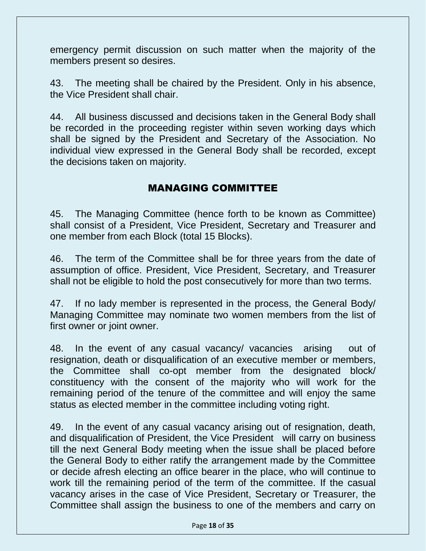emergency permit discussion on such matter when the majority of the members present so desires.

43. The meeting shall be chaired by the President. Only in his absence, the Vice President shall chair.

44. All business discussed and decisions taken in the General Body shall be recorded in the proceeding register within seven working days which shall be signed by the President and Secretary of the Association. No individual view expressed in the General Body shall be recorded, except the decisions taken on majority.

#### MANAGING COMMITTEE

45. The Managing Committee (hence forth to be known as Committee) shall consist of a President, Vice President, Secretary and Treasurer and one member from each Block (total 15 Blocks).

46. The term of the Committee shall be for three years from the date of assumption of office. President, Vice President, Secretary, and Treasurer shall not be eligible to hold the post consecutively for more than two terms.

47. If no lady member is represented in the process, the General Body/ Managing Committee may nominate two women members from the list of first owner or joint owner.

48. In the event of any casual vacancy/ vacancies arising out of resignation, death or disqualification of an executive member or members, the Committee shall co-opt member from the designated block/ constituency with the consent of the majority who will work for the remaining period of the tenure of the committee and will enjoy the same status as elected member in the committee including voting right.

49. In the event of any casual vacancy arising out of resignation, death, and disqualification of President, the Vice President will carry on business till the next General Body meeting when the issue shall be placed before the General Body to either ratify the arrangement made by the Committee or decide afresh electing an office bearer in the place, who will continue to work till the remaining period of the term of the committee. If the casual vacancy arises in the case of Vice President, Secretary or Treasurer, the Committee shall assign the business to one of the members and carry on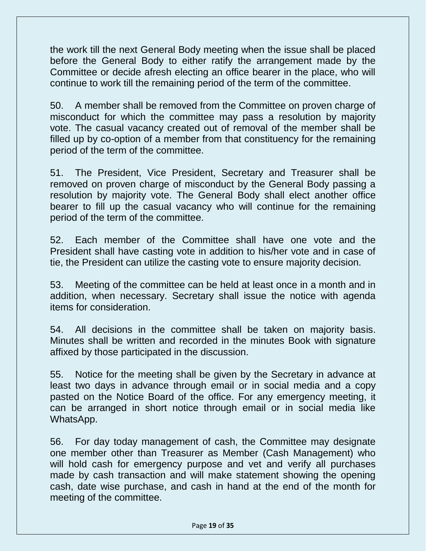the work till the next General Body meeting when the issue shall be placed before the General Body to either ratify the arrangement made by the Committee or decide afresh electing an office bearer in the place, who will continue to work till the remaining period of the term of the committee.

50. A member shall be removed from the Committee on proven charge of misconduct for which the committee may pass a resolution by majority vote. The casual vacancy created out of removal of the member shall be filled up by co-option of a member from that constituency for the remaining period of the term of the committee.

51. The President, Vice President, Secretary and Treasurer shall be removed on proven charge of misconduct by the General Body passing a resolution by majority vote. The General Body shall elect another office bearer to fill up the casual vacancy who will continue for the remaining period of the term of the committee.

52. Each member of the Committee shall have one vote and the President shall have casting vote in addition to his/her vote and in case of tie, the President can utilize the casting vote to ensure majority decision.

53. Meeting of the committee can be held at least once in a month and in addition, when necessary. Secretary shall issue the notice with agenda items for consideration.

54. All decisions in the committee shall be taken on majority basis. Minutes shall be written and recorded in the minutes Book with signature affixed by those participated in the discussion.

55. Notice for the meeting shall be given by the Secretary in advance at least two days in advance through email or in social media and a copy pasted on the Notice Board of the office. For any emergency meeting, it can be arranged in short notice through email or in social media like WhatsApp.

56. For day today management of cash, the Committee may designate one member other than Treasurer as Member (Cash Management) who will hold cash for emergency purpose and vet and verify all purchases made by cash transaction and will make statement showing the opening cash, date wise purchase, and cash in hand at the end of the month for meeting of the committee.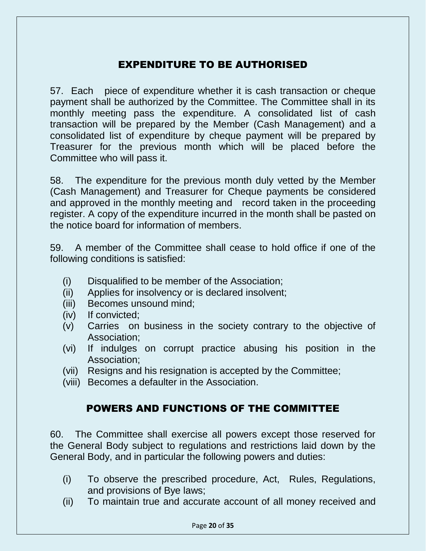#### EXPENDITURE TO BE AUTHORISED

57. Each piece of expenditure whether it is cash transaction or cheque payment shall be authorized by the Committee. The Committee shall in its monthly meeting pass the expenditure. A consolidated list of cash transaction will be prepared by the Member (Cash Management) and a consolidated list of expenditure by cheque payment will be prepared by Treasurer for the previous month which will be placed before the Committee who will pass it.

58. The expenditure for the previous month duly vetted by the Member (Cash Management) and Treasurer for Cheque payments be considered and approved in the monthly meeting and record taken in the proceeding register. A copy of the expenditure incurred in the month shall be pasted on the notice board for information of members.

59. A member of the Committee shall cease to hold office if one of the following conditions is satisfied:

- (i) Disqualified to be member of the Association;
- (ii) Applies for insolvency or is declared insolvent;
- (iii) Becomes unsound mind;
- (iv) If convicted;
- (v) Carries on business in the society contrary to the objective of Association;
- (vi) If indulges on corrupt practice abusing his position in the Association;
- (vii) Resigns and his resignation is accepted by the Committee;
- (viii) Becomes a defaulter in the Association.

#### POWERS AND FUNCTIONS OF THE COMMITTEE

60. The Committee shall exercise all powers except those reserved for the General Body subject to regulations and restrictions laid down by the General Body, and in particular the following powers and duties:

- (i) To observe the prescribed procedure, Act, Rules, Regulations, and provisions of Bye laws;
- (ii) To maintain true and accurate account of all money received and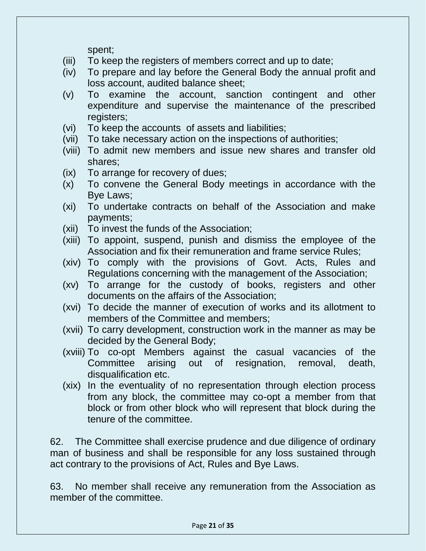spent;

- (iii) To keep the registers of members correct and up to date;
- (iv) To prepare and lay before the General Body the annual profit and loss account, audited balance sheet;
- (v) To examine the account, sanction contingent and other expenditure and supervise the maintenance of the prescribed registers;
- (vi) To keep the accounts of assets and liabilities;
- (vii) To take necessary action on the inspections of authorities;
- (viii) To admit new members and issue new shares and transfer old shares;
- (ix) To arrange for recovery of dues;
- (x) To convene the General Body meetings in accordance with the Bye Laws;
- (xi) To undertake contracts on behalf of the Association and make payments;
- (xii) To invest the funds of the Association;
- (xiii) To appoint, suspend, punish and dismiss the employee of the Association and fix their remuneration and frame service Rules;
- (xiv) To comply with the provisions of Govt. Acts, Rules and Regulations concerning with the management of the Association;
- (xv) To arrange for the custody of books, registers and other documents on the affairs of the Association;
- (xvi) To decide the manner of execution of works and its allotment to members of the Committee and members;
- (xvii) To carry development, construction work in the manner as may be decided by the General Body;
- (xviii) To co-opt Members against the casual vacancies of the Committee arising out of resignation, removal, death, disqualification etc.
- (xix) In the eventuality of no representation through election process from any block, the committee may co-opt a member from that block or from other block who will represent that block during the tenure of the committee.

62. The Committee shall exercise prudence and due diligence of ordinary man of business and shall be responsible for any loss sustained through act contrary to the provisions of Act, Rules and Bye Laws.

63. No member shall receive any remuneration from the Association as member of the committee.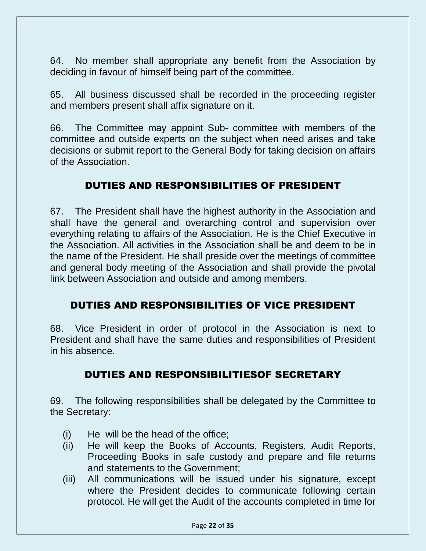64. No member shall appropriate any benefit from the Association by deciding in favour of himself being part of the committee.

65. All business discussed shall be recorded in the proceeding register and members present shall affix signature on it.

66. The Committee may appoint Sub- committee with members of the committee and outside experts on the subject when need arises and take decisions or submit report to the General Body for taking decision on affairs of the Association.

#### DUTIES AND RESPONSIBILITIES OF PRESIDENT

67. The President shall have the highest authority in the Association and shall have the general and overarching control and supervision over everything relating to affairs of the Association. He is the Chief Executive in the Association. All activities in the Association shall be and deem to be in the name of the President. He shall preside over the meetings of committee and general body meeting of the Association and shall provide the pivotal link between Association and outside and among members.

#### DUTIES AND RESPONSIBILITIES OF VICE PRESIDENT

68. Vice President in order of protocol in the Association is next to President and shall have the same duties and responsibilities of President in his absence.

#### DUTIES AND RESPONSIBILITIESOF SECRETARY

69. The following responsibilities shall be delegated by the Committee to the Secretary:

- (i) He will be the head of the office;
- (ii) He will keep the Books of Accounts, Registers, Audit Reports, Proceeding Books in safe custody and prepare and file returns and statements to the Government;
- (iii) All communications will be issued under his signature, except where the President decides to communicate following certain protocol. He will get the Audit of the accounts completed in time for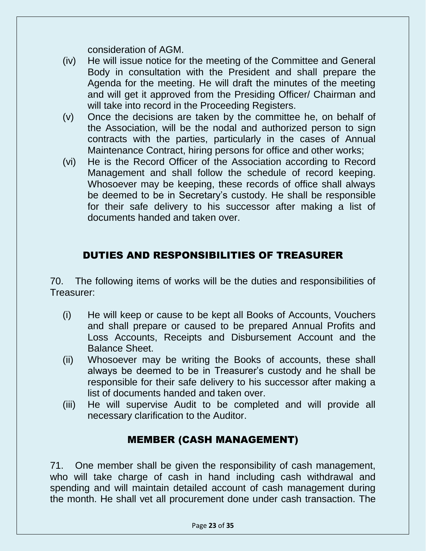consideration of AGM.

- (iv) He will issue notice for the meeting of the Committee and General Body in consultation with the President and shall prepare the Agenda for the meeting. He will draft the minutes of the meeting and will get it approved from the Presiding Officer/ Chairman and will take into record in the Proceeding Registers.
- (v) Once the decisions are taken by the committee he, on behalf of the Association, will be the nodal and authorized person to sign contracts with the parties, particularly in the cases of Annual Maintenance Contract, hiring persons for office and other works;
- (vi) He is the Record Officer of the Association according to Record Management and shall follow the schedule of record keeping. Whosoever may be keeping, these records of office shall always be deemed to be in Secretary's custody. He shall be responsible for their safe delivery to his successor after making a list of documents handed and taken over.

#### DUTIES AND RESPONSIBILITIES OF TREASURER

70. The following items of works will be the duties and responsibilities of Treasurer:

- (i) He will keep or cause to be kept all Books of Accounts, Vouchers and shall prepare or caused to be prepared Annual Profits and Loss Accounts, Receipts and Disbursement Account and the Balance Sheet.
- (ii) Whosoever may be writing the Books of accounts, these shall always be deemed to be in Treasurer's custody and he shall be responsible for their safe delivery to his successor after making a list of documents handed and taken over.
- (iii) He will supervise Audit to be completed and will provide all necessary clarification to the Auditor.

#### MEMBER (CASH MANAGEMENT)

71. One member shall be given the responsibility of cash management, who will take charge of cash in hand including cash withdrawal and spending and will maintain detailed account of cash management during the month. He shall vet all procurement done under cash transaction. The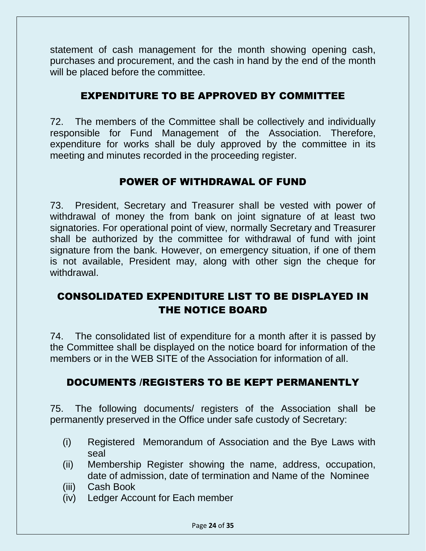statement of cash management for the month showing opening cash, purchases and procurement, and the cash in hand by the end of the month will be placed before the committee.

#### EXPENDITURE TO BE APPROVED BY COMMITTEE

72. The members of the Committee shall be collectively and individually responsible for Fund Management of the Association. Therefore, expenditure for works shall be duly approved by the committee in its meeting and minutes recorded in the proceeding register.

#### POWER OF WITHDRAWAL OF FUND

73. President, Secretary and Treasurer shall be vested with power of withdrawal of money the from bank on joint signature of at least two signatories. For operational point of view, normally Secretary and Treasurer shall be authorized by the committee for withdrawal of fund with joint signature from the bank. However, on emergency situation, if one of them is not available, President may, along with other sign the cheque for withdrawal.

#### CONSOLIDATED EXPENDITURE LIST TO BE DISPLAYED IN THE NOTICE BOARD

74. The consolidated list of expenditure for a month after it is passed by the Committee shall be displayed on the notice board for information of the members or in the WEB SITE of the Association for information of all.

#### DOCUMENTS /REGISTERS TO BE KEPT PERMANENTLY

75. The following documents/ registers of the Association shall be permanently preserved in the Office under safe custody of Secretary:

- (i) Registered Memorandum of Association and the Bye Laws with seal
- (ii) Membership Register showing the name, address, occupation, date of admission, date of termination and Name of the Nominee
- (iii) Cash Book
- (iv) Ledger Account for Each member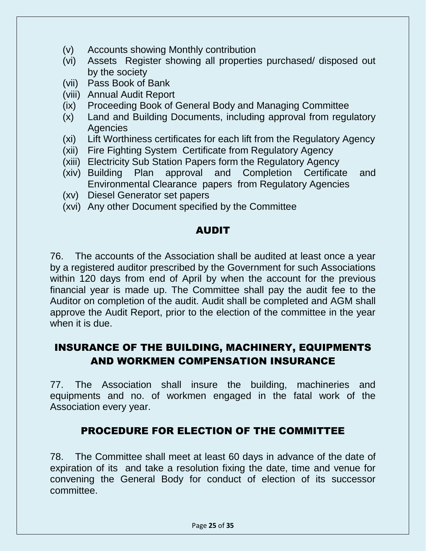- (v) Accounts showing Monthly contribution
- (vi) Assets Register showing all properties purchased/ disposed out by the society
- (vii) Pass Book of Bank
- (viii) Annual Audit Report
- (ix) Proceeding Book of General Body and Managing Committee
- (x) Land and Building Documents, including approval from regulatory Agencies
- (xi) Lift Worthiness certificates for each lift from the Regulatory Agency
- (xii) Fire Fighting System Certificate from Regulatory Agency
- (xiii) Electricity Sub Station Papers form the Regulatory Agency
- (xiv) Building Plan approval and Completion Certificate and Environmental Clearance papers from Regulatory Agencies
- (xv) Diesel Generator set papers
- (xvi) Any other Document specified by the Committee

#### AUDIT

76. The accounts of the Association shall be audited at least once a year by a registered auditor prescribed by the Government for such Associations within 120 days from end of April by when the account for the previous financial year is made up. The Committee shall pay the audit fee to the Auditor on completion of the audit. Audit shall be completed and AGM shall approve the Audit Report, prior to the election of the committee in the year when it is due.

### INSURANCE OF THE BUILDING, MACHINERY, EQUIPMENTS AND WORKMEN COMPENSATION INSURANCE

77. The Association shall insure the building, machineries and equipments and no. of workmen engaged in the fatal work of the Association every year.

#### PROCEDURE FOR ELECTION OF THE COMMITTEE

78. The Committee shall meet at least 60 days in advance of the date of expiration of its and take a resolution fixing the date, time and venue for convening the General Body for conduct of election of its successor committee.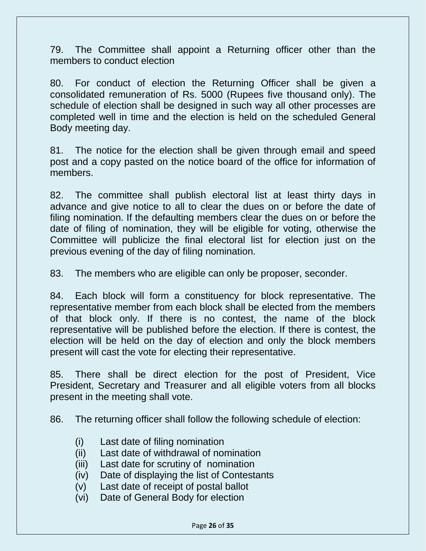79. The Committee shall appoint a Returning officer other than the members to conduct election

80. For conduct of election the Returning Officer shall be given a consolidated remuneration of Rs. 5000 (Rupees five thousand only). The schedule of election shall be designed in such way all other processes are completed well in time and the election is held on the scheduled General Body meeting day.

81. The notice for the election shall be given through email and speed post and a copy pasted on the notice board of the office for information of members.

82. The committee shall publish electoral list at least thirty days in advance and give notice to all to clear the dues on or before the date of filing nomination. If the defaulting members clear the dues on or before the date of filing of nomination, they will be eligible for voting, otherwise the Committee will publicize the final electoral list for election just on the previous evening of the day of filing nomination.

83. The members who are eligible can only be proposer, seconder.

84. Each block will form a constituency for block representative. The representative member from each block shall be elected from the members of that block only. If there is no contest, the name of the block representative will be published before the election. If there is contest, the election will be held on the day of election and only the block members present will cast the vote for electing their representative.

85. There shall be direct election for the post of President, Vice President, Secretary and Treasurer and all eligible voters from all blocks present in the meeting shall vote.

86. The returning officer shall follow the following schedule of election:

- (i) Last date of filing nomination
- (ii) Last date of withdrawal of nomination
- (iii) Last date for scrutiny of nomination
- (iv) Date of displaying the list of Contestants
- (v) Last date of receipt of postal ballot
- (vi) Date of General Body for election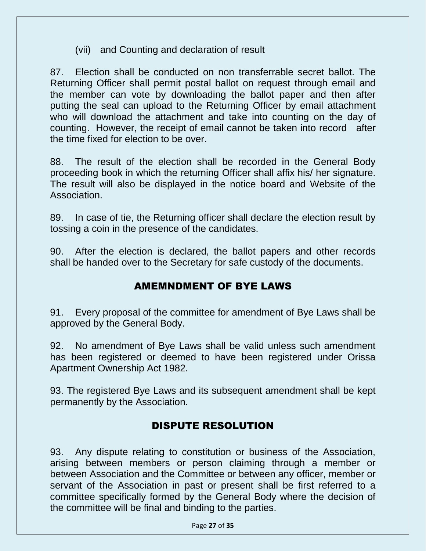(vii) and Counting and declaration of result

87. Election shall be conducted on non transferrable secret ballot. The Returning Officer shall permit postal ballot on request through email and the member can vote by downloading the ballot paper and then after putting the seal can upload to the Returning Officer by email attachment who will download the attachment and take into counting on the day of counting. However, the receipt of email cannot be taken into record after the time fixed for election to be over.

88. The result of the election shall be recorded in the General Body proceeding book in which the returning Officer shall affix his/ her signature. The result will also be displayed in the notice board and Website of the Association.

89. In case of tie, the Returning officer shall declare the election result by tossing a coin in the presence of the candidates.

90. After the election is declared, the ballot papers and other records shall be handed over to the Secretary for safe custody of the documents.

#### AMEMNDMENT OF BYE LAWS

91. Every proposal of the committee for amendment of Bye Laws shall be approved by the General Body.

92. No amendment of Bye Laws shall be valid unless such amendment has been registered or deemed to have been registered under Orissa Apartment Ownership Act 1982.

93. The registered Bye Laws and its subsequent amendment shall be kept permanently by the Association.

#### DISPUTE RESOLUTION

93. Any dispute relating to constitution or business of the Association, arising between members or person claiming through a member or between Association and the Committee or between any officer, member or servant of the Association in past or present shall be first referred to a committee specifically formed by the General Body where the decision of the committee will be final and binding to the parties.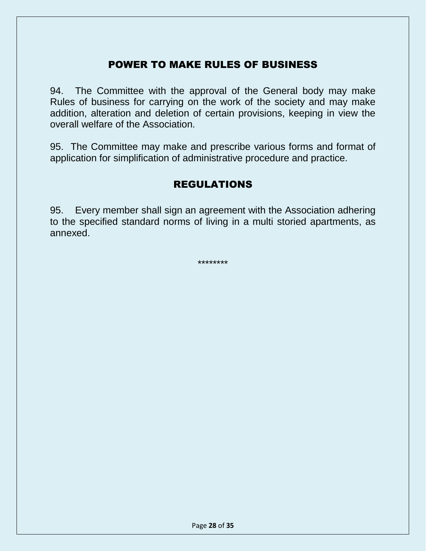#### POWER TO MAKE RULES OF BUSINESS

94. The Committee with the approval of the General body may make Rules of business for carrying on the work of the society and may make addition, alteration and deletion of certain provisions, keeping in view the overall welfare of the Association.

95. The Committee may make and prescribe various forms and format of application for simplification of administrative procedure and practice.

#### REGULATIONS

95. Every member shall sign an agreement with the Association adhering to the specified standard norms of living in a multi storied apartments, as annexed.

\*\*\*\*\*\*\*\*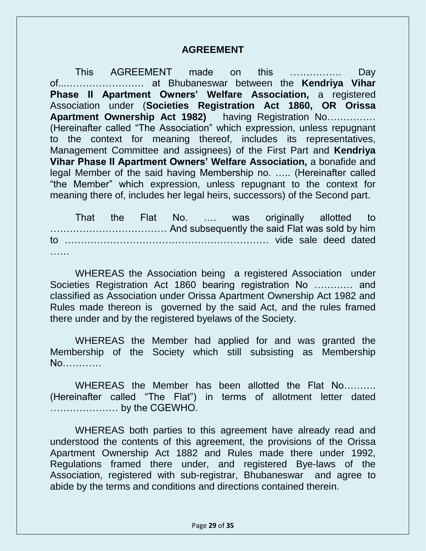#### **AGREEMENT**

This AGREEMENT made on this ……………. Day of...…………………… at Bhubaneswar between the **Kendriya Vihar Phase II Apartment Owners' Welfare Association,** a registered Association under (**Societies Registration Act 1860, OR Orissa Apartment Ownership Act 1982)** having Registration No…………… (Hereinafter called "The Association" which expression, unless repugnant to the context for meaning thereof, includes its representatives, Management Committee and assignees) of the First Part and **Kendriya Vihar Phase II Apartment Owners' Welfare Association,** a bonafide and legal Member of the said having Membership no. ….. (Hereinafter called "the Member" which expression, unless repugnant to the context for meaning there of, includes her legal heirs, successors) of the Second part.

That the Flat No. …. was originally allotted to ……………………………… And subsequently the said Flat was sold by him to ……………………………………………………… vide sale deed dated

WHEREAS the Association being a registered Association under Societies Registration Act 1860 bearing registration No ………… and classified as Association under Orissa Apartment Ownership Act 1982 and Rules made thereon is governed by the said Act, and the rules framed there under and by the registered byelaws of the Society.

WHEREAS the Member had applied for and was granted the Membership of the Society which still subsisting as Membership No…………

WHEREAS the Member has been allotted the Flat No………. (Hereinafter called "The Flat") in terms of allotment letter dated ………………… by the CGEWHO.

WHEREAS both parties to this agreement have already read and understood the contents of this agreement, the provisions of the Orissa Apartment Ownership Act 1882 and Rules made there under 1992, Regulations framed there under, and registered Bye-laws of the Association, registered with sub-registrar, Bhubaneswar and agree to abide by the terms and conditions and directions contained therein.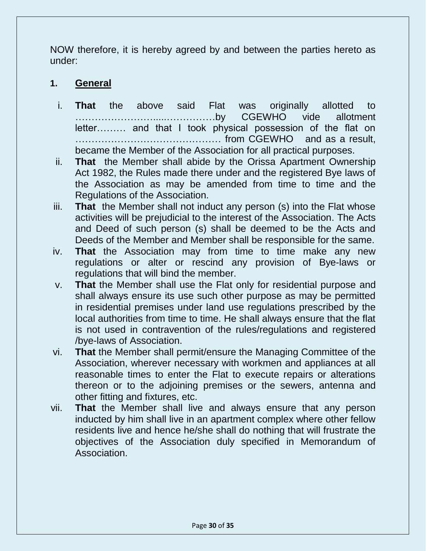NOW therefore, it is hereby agreed by and between the parties hereto as under:

#### **1. General**

- i. **That** the above said Flat was originally allotted to …………………….....……………by CGEWHO vide allotment letter……… and that I took physical possession of the flat on ……………………………………… from CGEWHO and as a result, became the Member of the Association for all practical purposes.
- ii. **That** the Member shall abide by the Orissa Apartment Ownership Act 1982, the Rules made there under and the registered Bye laws of the Association as may be amended from time to time and the Regulations of the Association.
- iii. **That** the Member shall not induct any person (s) into the Flat whose activities will be prejudicial to the interest of the Association. The Acts and Deed of such person (s) shall be deemed to be the Acts and Deeds of the Member and Member shall be responsible for the same.
- iv. **That** the Association may from time to time make any new regulations or alter or rescind any provision of Bye-laws or regulations that will bind the member.
- v. **That** the Member shall use the Flat only for residential purpose and shall always ensure its use such other purpose as may be permitted in residential premises under land use regulations prescribed by the local authorities from time to time. He shall always ensure that the flat is not used in contravention of the rules/regulations and registered /bye-laws of Association.
- vi. **That** the Member shall permit/ensure the Managing Committee of the Association, wherever necessary with workmen and appliances at all reasonable times to enter the Flat to execute repairs or alterations thereon or to the adjoining premises or the sewers, antenna and other fitting and fixtures, etc.
- vii. **That** the Member shall live and always ensure that any person inducted by him shall live in an apartment complex where other fellow residents live and hence he/she shall do nothing that will frustrate the objectives of the Association duly specified in Memorandum of Association.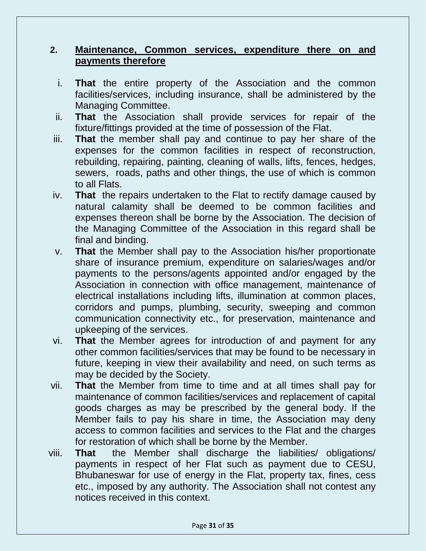#### **2. Maintenance, Common services, expenditure there on and payments therefore**

- i. **That** the entire property of the Association and the common facilities/services, including insurance, shall be administered by the Managing Committee.
- ii. **That** the Association shall provide services for repair of the fixture/fittings provided at the time of possession of the Flat.
- iii. **That** the member shall pay and continue to pay her share of the expenses for the common facilities in respect of reconstruction, rebuilding, repairing, painting, cleaning of walls, lifts, fences, hedges, sewers, roads, paths and other things, the use of which is common to all Flats.
- iv. **That** the repairs undertaken to the Flat to rectify damage caused by natural calamity shall be deemed to be common facilities and expenses thereon shall be borne by the Association. The decision of the Managing Committee of the Association in this regard shall be final and binding.
- v. **That** the Member shall pay to the Association his/her proportionate share of insurance premium, expenditure on salaries/wages and/or payments to the persons/agents appointed and/or engaged by the Association in connection with office management, maintenance of electrical installations including lifts, illumination at common places, corridors and pumps, plumbing, security, sweeping and common communication connectivity etc., for preservation, maintenance and upkeeping of the services.
- vi. **That** the Member agrees for introduction of and payment for any other common facilities/services that may be found to be necessary in future, keeping in view their availability and need, on such terms as may be decided by the Society.
- vii. **That** the Member from time to time and at all times shall pay for maintenance of common facilities/services and replacement of capital goods charges as may be prescribed by the general body. If the Member fails to pay his share in time, the Association may deny access to common facilities and services to the Flat and the charges for restoration of which shall be borne by the Member.
- viii. **That** the Member shall discharge the liabilities/ obligations/ payments in respect of her Flat such as payment due to CESU, Bhubaneswar for use of energy in the Flat, property tax, fines, cess etc., imposed by any authority. The Association shall not contest any notices received in this context.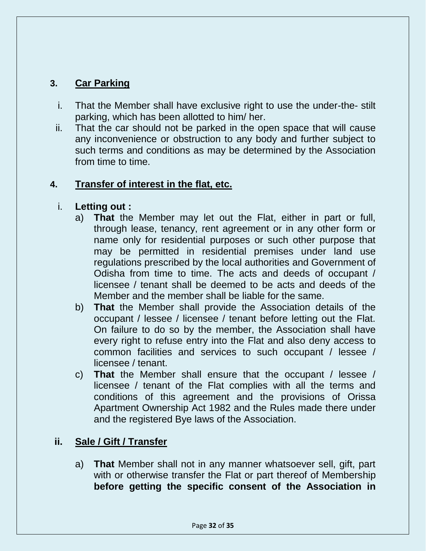#### **3. Car Parking**

- i. That the Member shall have exclusive right to use the under-the- stilt parking, which has been allotted to him/ her.
- ii. That the car should not be parked in the open space that will cause any inconvenience or obstruction to any body and further subject to such terms and conditions as may be determined by the Association from time to time.

#### **4. Transfer of interest in the flat, etc.**

#### i. **Letting out :**

- a) **That** the Member may let out the Flat, either in part or full, through lease, tenancy, rent agreement or in any other form or name only for residential purposes or such other purpose that may be permitted in residential premises under land use regulations prescribed by the local authorities and Government of Odisha from time to time. The acts and deeds of occupant / licensee / tenant shall be deemed to be acts and deeds of the Member and the member shall be liable for the same.
- b) **That** the Member shall provide the Association details of the occupant / lessee / licensee / tenant before letting out the Flat. On failure to do so by the member, the Association shall have every right to refuse entry into the Flat and also deny access to common facilities and services to such occupant / lessee / licensee / tenant.
- c) **That** the Member shall ensure that the occupant / lessee / licensee / tenant of the Flat complies with all the terms and conditions of this agreement and the provisions of Orissa Apartment Ownership Act 1982 and the Rules made there under and the registered Bye laws of the Association.

#### **ii. Sale / Gift / Transfer**

a) **That** Member shall not in any manner whatsoever sell, gift, part with or otherwise transfer the Flat or part thereof of Membership **before getting the specific consent of the Association in**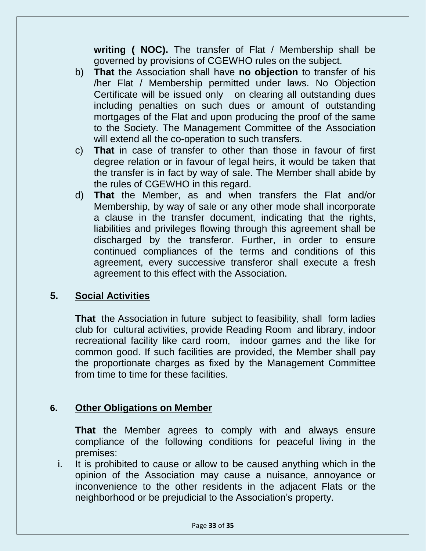**writing ( NOC).** The transfer of Flat / Membership shall be governed by provisions of CGEWHO rules on the subject.

- b) **That** the Association shall have **no objection** to transfer of his /her Flat / Membership permitted under laws. No Objection Certificate will be issued only on clearing all outstanding dues including penalties on such dues or amount of outstanding mortgages of the Flat and upon producing the proof of the same to the Society. The Management Committee of the Association will extend all the co-operation to such transfers.
- c) **That** in case of transfer to other than those in favour of first degree relation or in favour of legal heirs, it would be taken that the transfer is in fact by way of sale. The Member shall abide by the rules of CGEWHO in this regard.
- d) **That** the Member, as and when transfers the Flat and/or Membership, by way of sale or any other mode shall incorporate a clause in the transfer document, indicating that the rights, liabilities and privileges flowing through this agreement shall be discharged by the transferor. Further, in order to ensure continued compliances of the terms and conditions of this agreement, every successive transferor shall execute a fresh agreement to this effect with the Association.

#### **5. Social Activities**

**That** the Association in future subject to feasibility, shall form ladies club for cultural activities, provide Reading Room and library, indoor recreational facility like card room, indoor games and the like for common good. If such facilities are provided, the Member shall pay the proportionate charges as fixed by the Management Committee from time to time for these facilities.

#### **6. Other Obligations on Member**

**That** the Member agrees to comply with and always ensure compliance of the following conditions for peaceful living in the premises:

i. It is prohibited to cause or allow to be caused anything which in the opinion of the Association may cause a nuisance, annoyance or inconvenience to the other residents in the adjacent Flats or the neighborhood or be prejudicial to the Association's property.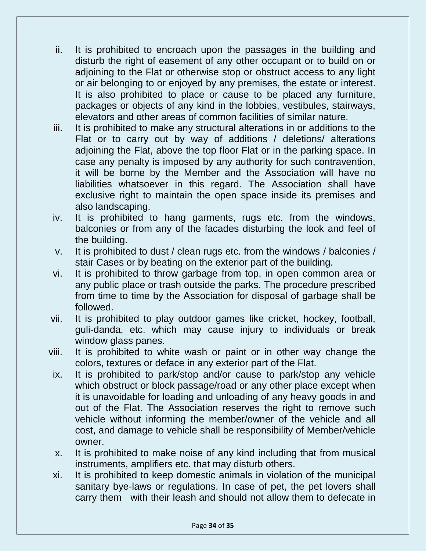- ii. It is prohibited to encroach upon the passages in the building and disturb the right of easement of any other occupant or to build on or adjoining to the Flat or otherwise stop or obstruct access to any light or air belonging to or enjoyed by any premises, the estate or interest. It is also prohibited to place or cause to be placed any furniture, packages or objects of any kind in the lobbies, vestibules, stairways, elevators and other areas of common facilities of similar nature.
- iii. It is prohibited to make any structural alterations in or additions to the Flat or to carry out by way of additions / deletions/ alterations adjoining the Flat, above the top floor Flat or in the parking space. In case any penalty is imposed by any authority for such contravention, it will be borne by the Member and the Association will have no liabilities whatsoever in this regard. The Association shall have exclusive right to maintain the open space inside its premises and also landscaping.
- iv. It is prohibited to hang garments, rugs etc. from the windows, balconies or from any of the facades disturbing the look and feel of the building.
- v. It is prohibited to dust / clean rugs etc. from the windows / balconies / stair Cases or by beating on the exterior part of the building.
- vi. It is prohibited to throw garbage from top, in open common area or any public place or trash outside the parks. The procedure prescribed from time to time by the Association for disposal of garbage shall be followed.
- vii. It is prohibited to play outdoor games like cricket, hockey, football, guli-danda, etc. which may cause injury to individuals or break window glass panes.
- viii. It is prohibited to white wash or paint or in other way change the colors, textures or deface in any exterior part of the Flat.
- ix. It is prohibited to park/stop and/or cause to park/stop any vehicle which obstruct or block passage/road or any other place except when it is unavoidable for loading and unloading of any heavy goods in and out of the Flat. The Association reserves the right to remove such vehicle without informing the member/owner of the vehicle and all cost, and damage to vehicle shall be responsibility of Member/vehicle owner.
- x. It is prohibited to make noise of any kind including that from musical instruments, amplifiers etc. that may disturb others.
- xi. It is prohibited to keep domestic animals in violation of the municipal sanitary bye-laws or regulations. In case of pet, the pet lovers shall carry them with their leash and should not allow them to defecate in